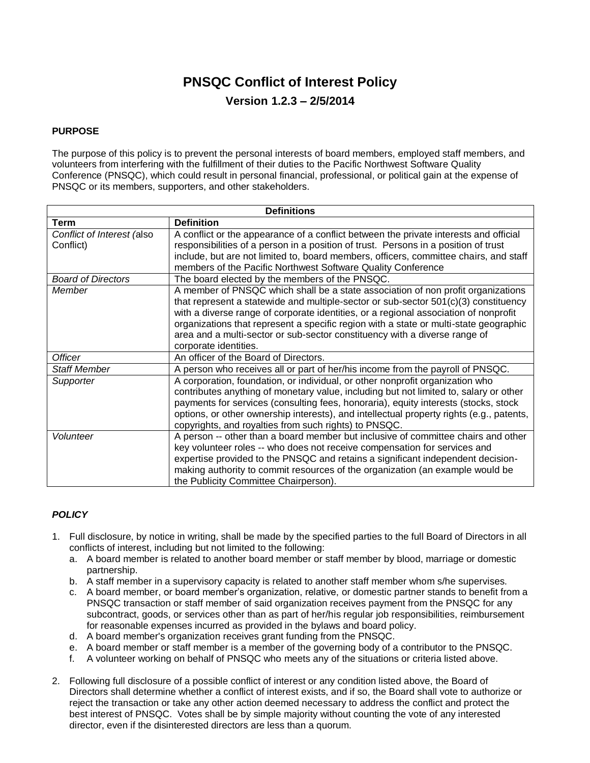# **PNSQC Conflict of Interest Policy Version 1.2.3 – 2/5/2014**

#### **PURPOSE**

The purpose of this policy is to prevent the personal interests of board members, employed staff members, and volunteers from interfering with the fulfillment of their duties to the Pacific Northwest Software Quality Conference (PNSQC), which could result in personal financial, professional, or political gain at the expense of PNSQC or its members, supporters, and other stakeholders.

| <b>Definitions</b>                      |                                                                                                                                                                                                                                                                                                                                                                                                                                                                   |
|-----------------------------------------|-------------------------------------------------------------------------------------------------------------------------------------------------------------------------------------------------------------------------------------------------------------------------------------------------------------------------------------------------------------------------------------------------------------------------------------------------------------------|
| <b>Term</b>                             | <b>Definition</b>                                                                                                                                                                                                                                                                                                                                                                                                                                                 |
| Conflict of Interest (also<br>Conflict) | A conflict or the appearance of a conflict between the private interests and official<br>responsibilities of a person in a position of trust. Persons in a position of trust<br>include, but are not limited to, board members, officers, committee chairs, and staff<br>members of the Pacific Northwest Software Quality Conference                                                                                                                             |
| <b>Board of Directors</b>               | The board elected by the members of the PNSQC.                                                                                                                                                                                                                                                                                                                                                                                                                    |
| Member                                  | A member of PNSQC which shall be a state association of non profit organizations<br>that represent a statewide and multiple-sector or sub-sector $501(c)(3)$ constituency<br>with a diverse range of corporate identities, or a regional association of nonprofit<br>organizations that represent a specific region with a state or multi-state geographic<br>area and a multi-sector or sub-sector constituency with a diverse range of<br>corporate identities. |
| <b>Officer</b>                          | An officer of the Board of Directors.                                                                                                                                                                                                                                                                                                                                                                                                                             |
| <b>Staff Member</b>                     | A person who receives all or part of her/his income from the payroll of PNSQC.                                                                                                                                                                                                                                                                                                                                                                                    |
| Supporter                               | A corporation, foundation, or individual, or other nonprofit organization who<br>contributes anything of monetary value, including but not limited to, salary or other<br>payments for services (consulting fees, honoraria), equity interests (stocks, stock<br>options, or other ownership interests), and intellectual property rights (e.g., patents,<br>copyrights, and royalties from such rights) to PNSQC.                                                |
| Volunteer                               | A person -- other than a board member but inclusive of committee chairs and other<br>key volunteer roles -- who does not receive compensation for services and<br>expertise provided to the PNSQC and retains a significant independent decision-<br>making authority to commit resources of the organization (an example would be<br>the Publicity Committee Chairperson).                                                                                       |

### *POLICY*

- 1. Full disclosure, by notice in writing, shall be made by the specified parties to the full Board of Directors in all conflicts of interest, including but not limited to the following:
	- a. A board member is related to another board member or staff member by blood, marriage or domestic partnership.
	- b. A staff member in a supervisory capacity is related to another staff member whom s/he supervises.
	- c. A board member, or board member's organization, relative, or domestic partner stands to benefit from a PNSQC transaction or staff member of said organization receives payment from the PNSQC for any subcontract, goods, or services other than as part of her/his regular job responsibilities, reimbursement for reasonable expenses incurred as provided in the bylaws and board policy.
	- d. A board member's organization receives grant funding from the PNSQC.
	- e. A board member or staff member is a member of the governing body of a contributor to the PNSQC.
	- f. A volunteer working on behalf of PNSQC who meets any of the situations or criteria listed above.
- 2. Following full disclosure of a possible conflict of interest or any condition listed above, the Board of Directors shall determine whether a conflict of interest exists, and if so, the Board shall vote to authorize or reject the transaction or take any other action deemed necessary to address the conflict and protect the best interest of PNSQC. Votes shall be by simple majority without counting the vote of any interested director, even if the disinterested directors are less than a quorum.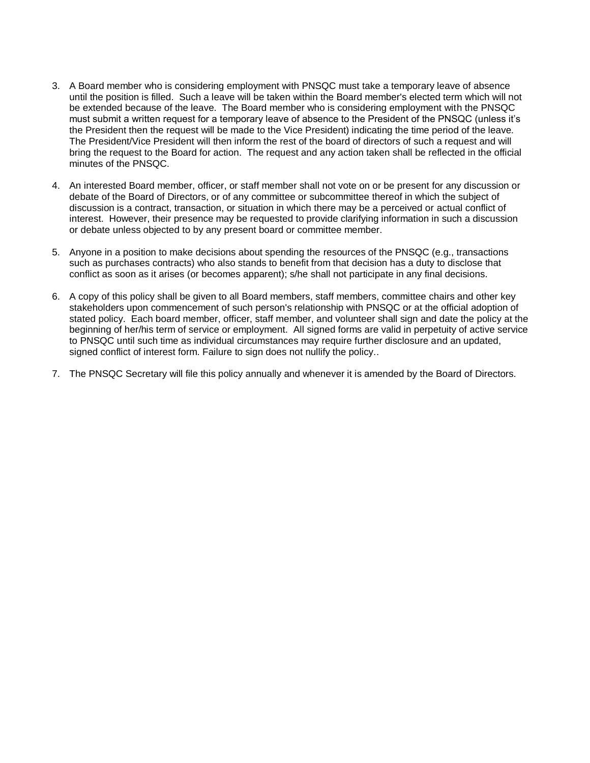- 3. A Board member who is considering employment with PNSQC must take a temporary leave of absence until the position is filled. Such a leave will be taken within the Board member's elected term which will not be extended because of the leave. The Board member who is considering employment with the PNSQC must submit a written request for a temporary leave of absence to the President of the PNSQC (unless it's the President then the request will be made to the Vice President) indicating the time period of the leave. The President/Vice President will then inform the rest of the board of directors of such a request and will bring the request to the Board for action. The request and any action taken shall be reflected in the official minutes of the PNSQC.
- 4. An interested Board member, officer, or staff member shall not vote on or be present for any discussion or debate of the Board of Directors, or of any committee or subcommittee thereof in which the subject of discussion is a contract, transaction, or situation in which there may be a perceived or actual conflict of interest. However, their presence may be requested to provide clarifying information in such a discussion or debate unless objected to by any present board or committee member.
- 5. Anyone in a position to make decisions about spending the resources of the PNSQC (e.g., transactions such as purchases contracts) who also stands to benefit from that decision has a duty to disclose that conflict as soon as it arises (or becomes apparent); s/he shall not participate in any final decisions.
- 6. A copy of this policy shall be given to all Board members, staff members, committee chairs and other key stakeholders upon commencement of such person's relationship with PNSQC or at the official adoption of stated policy. Each board member, officer, staff member, and volunteer shall sign and date the policy at the beginning of her/his term of service or employment. All signed forms are valid in perpetuity of active service to PNSQC until such time as individual circumstances may require further disclosure and an updated, signed conflict of interest form. Failure to sign does not nullify the policy..
- 7. The PNSQC Secretary will file this policy annually and whenever it is amended by the Board of Directors.